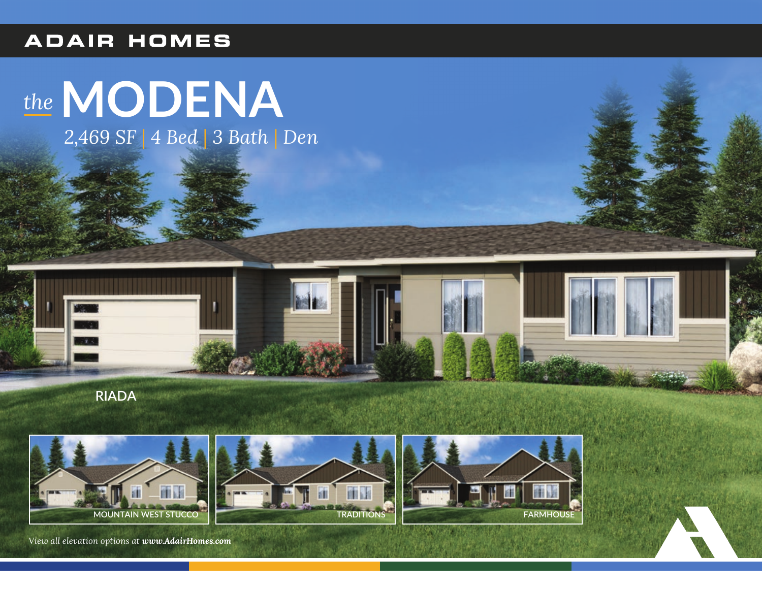## **ADAIR HOMES**

## the MODENA

2,469 SF | 4 Bed | 3 Bath | Den



**RIADA** 



面 **TRADITIONS** 



View all elevation options at www.AdairHomes.com